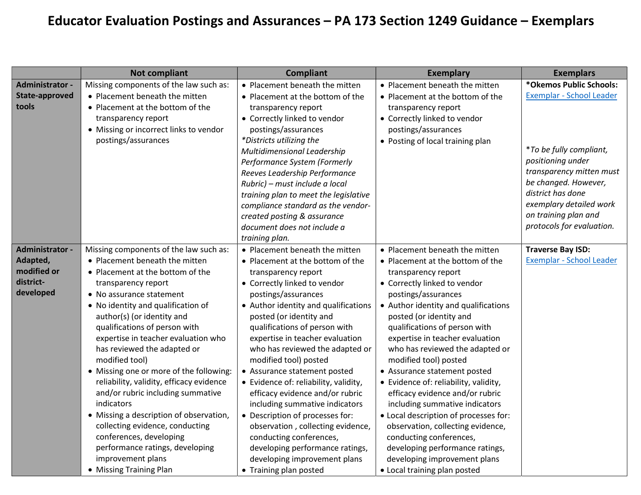## Educator Evaluation Postings and Assurances – PA 173 Section 1249 Guidance – Exemplars

|                                                                      | <b>Not compliant</b>                                                                                                                                                                                                                                                                                                                                                                                                                                                                                                                                                                                                                                                                               | <b>Compliant</b>                                                                                                                                                                                                                                                                                                                                                                                                                                                                                                                                                                                                                                                                                  | <b>Exemplary</b>                                                                                                                                                                                                                                                                                                                                                                                                                                                                                                                                                                                                                                                                                              | <b>Exemplars</b>                                                                                                                                                                                                                                             |
|----------------------------------------------------------------------|----------------------------------------------------------------------------------------------------------------------------------------------------------------------------------------------------------------------------------------------------------------------------------------------------------------------------------------------------------------------------------------------------------------------------------------------------------------------------------------------------------------------------------------------------------------------------------------------------------------------------------------------------------------------------------------------------|---------------------------------------------------------------------------------------------------------------------------------------------------------------------------------------------------------------------------------------------------------------------------------------------------------------------------------------------------------------------------------------------------------------------------------------------------------------------------------------------------------------------------------------------------------------------------------------------------------------------------------------------------------------------------------------------------|---------------------------------------------------------------------------------------------------------------------------------------------------------------------------------------------------------------------------------------------------------------------------------------------------------------------------------------------------------------------------------------------------------------------------------------------------------------------------------------------------------------------------------------------------------------------------------------------------------------------------------------------------------------------------------------------------------------|--------------------------------------------------------------------------------------------------------------------------------------------------------------------------------------------------------------------------------------------------------------|
| Administrator -<br>State-approved<br>tools                           | Missing components of the law such as:<br>• Placement beneath the mitten<br>• Placement at the bottom of the<br>transparency report<br>• Missing or incorrect links to vendor<br>postings/assurances                                                                                                                                                                                                                                                                                                                                                                                                                                                                                               | • Placement beneath the mitten<br>• Placement at the bottom of the<br>transparency report<br>• Correctly linked to vendor<br>postings/assurances<br>*Districts utilizing the<br>Multidimensional Leadership<br>Performance System (Formerly<br>Reeves Leadership Performance<br>Rubric) - must include a local<br>training plan to meet the legislative<br>compliance standard as the vendor-<br>created posting & assurance<br>document does not include a<br>training plan.                                                                                                                                                                                                                     | • Placement beneath the mitten<br>• Placement at the bottom of the<br>transparency report<br>• Correctly linked to vendor<br>postings/assurances<br>• Posting of local training plan                                                                                                                                                                                                                                                                                                                                                                                                                                                                                                                          | *Okemos Public Schools:<br>Exemplar - School Leader<br>*To be fully compliant,<br>positioning under<br>transparency mitten must<br>be changed. However,<br>district has done<br>exemplary detailed work<br>on training plan and<br>protocols for evaluation. |
| Administrator -<br>Adapted,<br>modified or<br>district-<br>developed | Missing components of the law such as:<br>• Placement beneath the mitten<br>• Placement at the bottom of the<br>transparency report<br>• No assurance statement<br>• No identity and qualification of<br>author(s) (or identity and<br>qualifications of person with<br>expertise in teacher evaluation who<br>has reviewed the adapted or<br>modified tool)<br>• Missing one or more of the following:<br>reliability, validity, efficacy evidence<br>and/or rubric including summative<br>indicators<br>• Missing a description of observation,<br>collecting evidence, conducting<br>conferences, developing<br>performance ratings, developing<br>improvement plans<br>• Missing Training Plan | • Placement beneath the mitten<br>• Placement at the bottom of the<br>transparency report<br>• Correctly linked to vendor<br>postings/assurances<br>• Author identity and qualifications<br>posted (or identity and<br>qualifications of person with<br>expertise in teacher evaluation<br>who has reviewed the adapted or<br>modified tool) posted<br>• Assurance statement posted<br>• Evidence of: reliability, validity,<br>efficacy evidence and/or rubric<br>including summative indicators<br>• Description of processes for:<br>observation, collecting evidence,<br>conducting conferences,<br>developing performance ratings,<br>developing improvement plans<br>• Training plan posted | • Placement beneath the mitten<br>• Placement at the bottom of the<br>transparency report<br>• Correctly linked to vendor<br>postings/assurances<br>• Author identity and qualifications<br>posted (or identity and<br>qualifications of person with<br>expertise in teacher evaluation<br>who has reviewed the adapted or<br>modified tool) posted<br>• Assurance statement posted<br>• Evidence of: reliability, validity,<br>efficacy evidence and/or rubric<br>including summative indicators<br>• Local description of processes for:<br>observation, collecting evidence,<br>conducting conferences,<br>developing performance ratings,<br>developing improvement plans<br>• Local training plan posted | <b>Traverse Bay ISD:</b><br>Exemplar - School Leader                                                                                                                                                                                                         |